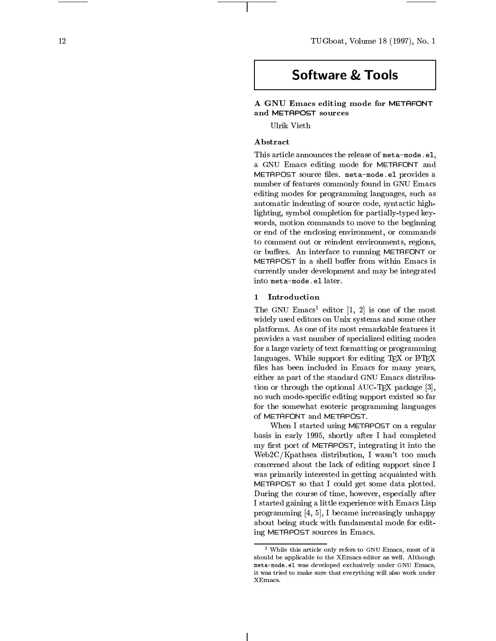12 TUGboat, Volume 18 (1997), No. 1

# **Software & Tools**

# A GNU Emacs editing mode for METAFONT and METAPOST sources

# Abstract

This article announces the release of meta-mode. This article announces the release of meta-mode. The release of  $\mathbb{R}^n$ a GNU Emacs editing mode for METAFONT and METAPOST source files. meta-mode.el provides a number of features commonly found in GNU Emacs editing modes for programming languages, such as automatic indenting of source code, syntactic highlighting, symbol completion for partially-typed key words, motion commands to move to the beginning or end of the enclosing environment, or commands to comment out or reindent environments, regions, or buffers. An interface to running METAFONT or METAPOST in a shell buffer from within Emacs is currently under development and may be integrated into meta-mode.el later.

# 1 Introduction

I he GNU Emacs editor  $|1, 2|$  is one of the most widely used editors on Unix systems and some other platforms. As one of its most remarkable features it provides a vast number of specialized editing modes for a large variety of text formatting or programming languages. While support for editing  $T_F X$  or  $I\rightarrow T_F X$ les has been included in Emacs for man y years, either as part of the standard GNU Emacs distribution or through the optional AUC-TEX package [3], no such mode-specic editing support existed so far for the somewhat esoteric programming languages of METAFONT and METAPOST .

When I started using METAPOST on a regular basis in early 1995, shortly after I had completed my first port of METAPOST, integrating it into the Web2C/Kpathsea distribution, I wasn't too much concerned about the lack of editing support since I was primarily interested in getting acquainted with METAPOST so that I could get some data plotted. During the course of time, ho wever, especially after I started gaining a little experience with Emacs Lisp programming  $\mathbf{r}$ , if  $\mathbf{r}$  is a set of the increasingly under the increasingly under the increasingly uncereasingly uncereasing the increasing of the increasing the increasing of the increasing the increasing of th about being stuck with fundamental mode for editing METAPOST sources in Emacs.

<sup>&</sup>lt;sup>1</sup> While this article only refers to GNU Emacs, most of it While this article only refers to GNU Emacs, most only refers to GNU Emacs, most of its control only refers to should be applicable to the XEmacs editor as well. Although meta-mode.el was developed advanced exclusively under the model of  $\sim$ it was tried to make sure that everything will also work under XEmacs.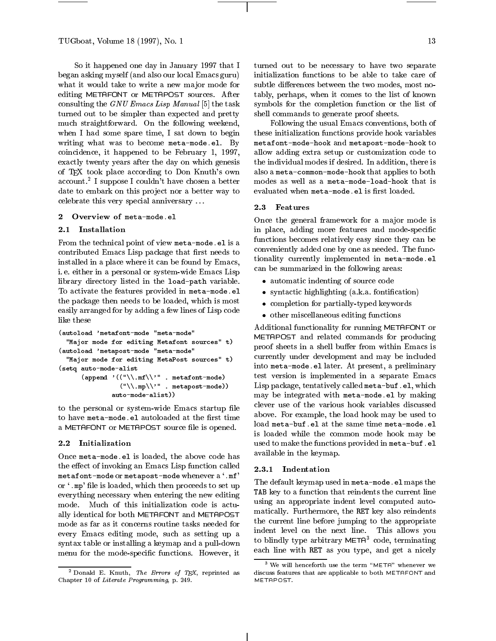So it happened one day in January 1997 that I began asking myself (and also our local Emacs guru) what it would take to write a new major mode for editing METAFONT or METAPOST sources. After consulting the GNU Emacs Lisp Manual [5] the task turned out to be simpler than expected and pretty much straightforward. On the following weekend, when I had some spare time, I sat down to begin writing what was to become meta-mode.el. By coincidence, it happened to be February 1, 1997, exactly twenty years after the day on which genesis of TEX took place according to Don Knuth's own account.<sup>2</sup> I suppose I couldn't have chosen a better — mo date to embark on this project nor a better way to celebrate this very special anniversary . . .

# 2 Overview of meta-mode.el

# 2.1 Installation

From the technical point of view meta-mode.el is a contributed Emacs Lisp package that first needs to installed in a place where it can be found by Emacs, i. e. either in a personal or system-wide Emacs Lisp library directory listed in the load-path variable. To activate the features provided in meta-mode.el the package then needs to be loaded, which is most easily arranged for by adding a few lines of Lisp code like these

```
(autoload 'metafont-mode "meta-mode"
  "Major mode for editing Metafont sources" t)
(autoload 'metapost-mode "meta-mode"
  "Major mode for editing MetaPost sources" t)
(setq auto-mode-alist
       (\text{append } '(\text{``\texttt{\\.mf\texttt{\\}''' \texttt{...} metafont-mode})("\\.mp\\'" . metapost-mode))
                auto-mode-alist))
```
to the personal or system-wide Emacs startup file to have meta-mode.el autoloaded at the first time a METAFONT or METAPOST source file is opened.

# 2.2 Initialization

Once meta-mode.el is loaded, the above code has the effect of invoking an Emacs Lisp function called metafont-mode or metapost-mode whenever a '.mf' or '.mp' file is loaded, which then proceeds to set up everything necessary when entering the new editing mode. Much of this initialization code is actually identical for both METAFONT and METAPOST mode as far as it concerns routine tasks needed for every Emacs editing mode, such as setting up a syntax table or installing a keymap and a pull-down menu for the mode-specific functions. However, it 13

turned out to be necessary to have two separate initialization functions to be able to take care of subtle differences between the two modes, most notably, perhaps, when it comes to the list of known symbols for the completion function or the list of shell commands to generate proof sheets.

Following the usual Emacs conventions, both of these initialization functions provide hook variables metafont-mode-hook and metapost-mode-hook to allow adding extra setup or customization code to the individual modes if desired. In addition, there is also a meta-common-mode-hook that applies to both modes as well as a meta-mode-load-hook that is evaluated when meta-mode.el is first loaded.

Once the general framework for a major mode is in place, adding more features and mode-specific functions becomes relatively easy since they can be conveniently added one by one as needed. The functionality currently implemented in meta-mode.el can be summarized in the following areas:

- automatic indenting of source code code
- $s_{\rm s}$  is the form  $\sim$  form  $\sim$  (a.k.a. form form form form  $\sim$
- completion for particularly-typed keywords and
- other miscellaneous editing functions and the contract of the contract of the contract of the contract of the c

Additional functionality for running METAFONT or METAPOST and related commands for producing proof sheets in a shell buffer from within Emacs is currently under development and may be included into meta-mode.el later. At present, a preliminary test version is implemented in a separate Emacs Lisp package, tentatively called meta-buf.el, which may be integrated with meta-mode.el by making clever use of the various hook variables discussed above. For example, the load hook may be used to load meta-buf.el at the same time meta-mode.el is loaded while the common mode hook may be used to make the functions provided in meta-buf.el available in the keymap.

#### 2.3.1 Indentation

The default keymap used in meta-mode.el maps the TAB key to a function that reindents the current line using an appropriate indent level computed automatically. Furthermore, the RET key also reindents the current line before jumping to the appropriate indent level on the next line. This allows you to blindly type arbitrary META<sup>3</sup> code, terminating each line with RET as you type, and get a nicely

<sup>-</sup> Donald E. Knuth, *The Errors of TEX*, reprinted as an Chapter 10 of Literate Programming, p. 249.

 $^{\circ}$  We will henceforth use the term "META" whenever we discuss features that are applicable to both METAFONT and METAPOST.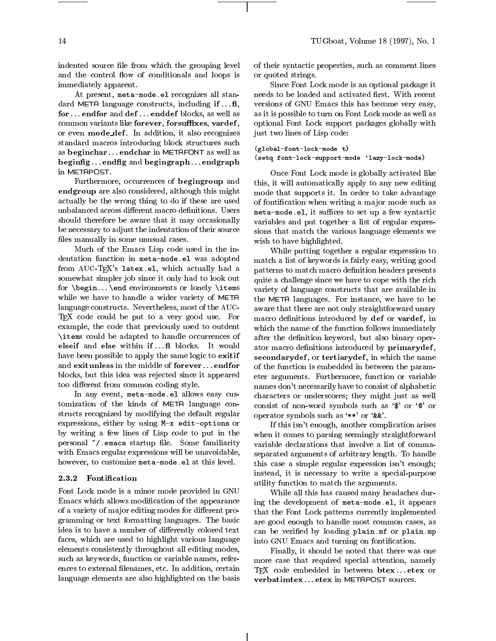indented source file from which the grouping level and the control flow of conditionals and loops is immediately apparent.

At present, meta-mode.el recognizes all standard META language constructs, including if  $\dots$  fi. for ... endfor and def... enddef blocks, as well as common variants like forever, forsuffixes, vardef, or even mode\_def. In addition, it also recognizes standard macros introducing block structures such as beginchar ::: endchar in METAFONT as well as beginfig...endfig and begingraph...endgraph in METAPOST.

Furthermore, occurrences of begingroup and endgroup are also considered, although this might actually be the wrong thing to do if these are used unbalanced across different macro definitions. Users should therefore be aware that it may occasionally be necessary to adjust the indentation of their source files manually in some unusual cases.

Much of the Emacs Lisp code used in the indentation function in meta-mode.el was adopted from AUC-TFX's latex.el, which actually had a somewhat simpler job since it only had to look out for  $\begin{bmatrix} \beta & \beta \end{bmatrix}$  for  $\begin{bmatrix} \alpha & \beta \end{bmatrix}$ while we have to handle a wider variety of META language constructs. Nevertheless, most of the AUC- TEX code could be put to a very good use. For example, the code that previously used to outdent \items could be adapted to handle occurrences of elseif and else within if ... fi blocks. It would have been possible to apply the same logic to exitif and exitunless in the middle of forever... endfor blocks, but this idea was rejected since it appeared too different from common coding style.

In any event, meta-mode.el allows easy customization of the kinds of META language constructs recognized by modifying the default regular expressions, either by using M-x edit-options or by writing a few lines of Lisp code to put in the personal  $\tilde{\ }$  / emacs startup file. Some familiarity with Emacs regular expressions will be unavoidable, however, to customize meta-mode.el at this level.

#### 2.3.2 Fontication

Font Lock mode is a minor mode provided in GNU Emacs which allows modication of the appearance of a variety of major editing modes for different programming or text formatting languages. The basic idea is to have a number of differently colored text faces, which are used to highlight various language elements consistently throughout all editing modes, such as keywords, function or variable names, references to external filenames, etc. In addition, certain language elements are also highlighted on the basis of their syntactic properties, such as comment lines or quoted strings.

Since Font Lock mode is an optional package it needs to be loaded and activated first. With recent versions of GNU Emacs this has become very easy, as it is possible to turn on Font Lock mode as well as optional Font Lock support packages globally with just two lines of Lisp code:

(global-font-lock-mode t) (setq font-lock-support-mode 'lazy-lock-mode)

Once Font Lock mode is globally activated like this, it will automatically apply to any new editing mode that supports it. In order to take advantage of fontication when writing a ma jor mode such as meta-mode.el, it suffices to set up a few syntactic variables and put together a list of regular expressions that match the various language elements we wish to have highlighted.

While putting together a regular expression to match a list of keywords is fairly easy, writing good patterns to match macro definition headers presents quite a challenge since we have to cope with the rich variety of language constructs that are available in the META languages. For instance, we have to be aware that there are not only straightforward unary macro definitions introduced by def or vardef, in which the name of the function follows immediately after the definition keyword, but also binary operator macro definitions introduced by primarydef, secondarydef, or tertiarydef, in which the name of the function is embedded in between the parameter arguments. Furthermore, function or variable names don't necessarily have to consist of alphabetic characters or underscores; they might just as well consist of non-word symbols such as `\$' or `@' or operator symbols such as `\*\*' or `&&'.

If this isn't enough, another complication arises when it comes to parsing seemingly straightforward variable declarations that involve a list of commaseparated arguments of arbitrary length. To handle this case a simple regular expression isn't enough; instead, it is necessary to write a special-purpose utility function to match the arguments.

While all this has caused many headaches during the development of meta-mode.el, it appears that the Font Lock patterns currently implemented are good enough to handle most common cases, as can be veried by loading plain.mf or plain.mp into GNU Emacs and turning on fontification.

Finally, it should be noted that there was one more case that required special attention, namely TFX code embedded in between  ${ \bf btex} \ldots$ .etex or verbatimtex ... etex in METAPOST sources.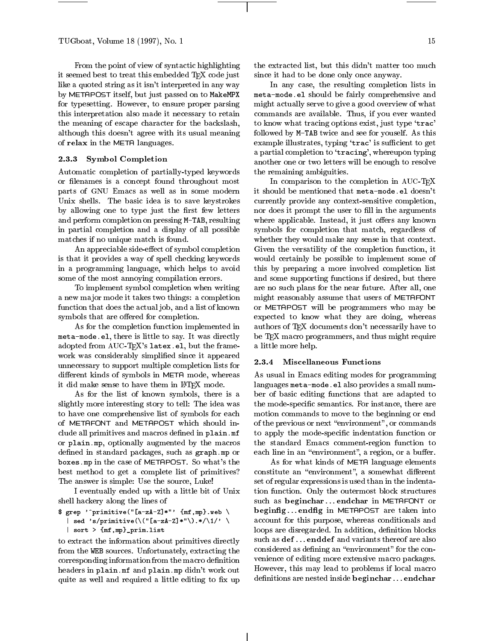From the point of view of syntactic highlighting it seemed best to treat this embedded TEX code just like a quoted string as it isn't interpreted in any way by METAPOST itself, but just passed on to MakeMPX for typesetting. However, to ensure proper parsing this interpretation also made it necessary to retain the meaning of escape character for the backslash, although this doesn't agree with its usual meaning of relax in the META languages.

# 2.3.3 Symbol Completion

Automatic completion of partially-typed keywords or filenames is a concept found throughout most parts of GNU Emacs as well as in some modern Unix shells. The basic idea is to save keystrokes by allowing one to type just the first few letters and perform completion on pressing M-TAB, resulting in partial completion and a display of all possible matches if no unique match is found.

An appreciable side-effect of symbol completion is that it provides a way of spell checking keywords in a programming language, which helps to avoid some of the most annoying compilation errors.

To implement symbol completion when writing a new major mode it takes two things: a completion function that does the actual job, and a list of known symbols that are offered for completion.

As for the completion function implemented in meta-mode.el, there is little to say. It was directly adopted from AUC-TEX's latex.el, but the framework was considerably simplified since it appeared<br>unpercovering sumport multiple completion lists for 2.3.4 unnecessary to support multiple completion lists for different kinds of symbols in META mode, whereas it did make sense to have them in LATFX mode.

As for the list of known symbols, there is a slightly more interesting story to tell: The idea was to have one comprehensive list of symbols for each of METAFONT and METAPOST which should include all primitives and macros defined in plain.mf or plain.mp, optionally augmented by the macros defined in standard packages, such as graph.mp or boxes.mp in the case of METAPOST. So what's the best method to get a complete list of primitives? The answer is simple: Use the source, Luke!

I eventually ended up with a little bit of Unix shell hackery along the lines of

```
\text{\$} grep '<sup>o</sup>primitive("[a-zA-Z]*"' {mf,mp}.web \
    sed 's/primitive(\("[a-zA-Z]*"\).*/\1/' \
```

```
| sort > {mf,mp}_prim.list
```
to extract the information about primitives directly from the WEB sources. Unfortunately, extracting the corresponding information from the macro definition headers in plain.mf and plain.mp didn't work out quite as well and required a little editing to fix up the extracted list, but this didn't matter too much since it had to be done only once anyway.

In any case, the resulting completion lists in meta-mode.el should be fairly comprehensive and might actually serve to give a good overview of what commands are available. Thus, if you ever wanted to know what tracing options exist, just type 'trac' followed by M-TAB twice and see for youself. As this example illustrates, typing 'trac' is sufficient to get a partial completion to 'tracing', whereupon typing another one or two letters will be enough to resolve the remaining ambiguities.

In comparison to the completion in AUC-TEX it should be mentioned that meta-mode.el doesn't currently provide any context-sensitive completion, nor does it prompt the user to fill in the arguments where applicable. Instead, it just offers any known symbols for completion that match, regardless of whether they would make any sense in that context. Given the versatility of the completion function, it would certainly be possible to implement some of this by preparing a more involved completion list and some supporting functions if desired, but there are no such plans for the near future. After all, one might reasonably assume that users of METAFONT or METAPOST will be programmers who may be expected to know what they are doing, whereas authors of TEX documents don't necessarily have to be TEX macro programmers, and thus might require a little more help.

### **Miscellaneous Functions**

As usual in Emacs editing modes for programming languages meta-mode.el also provides a small number of basic editing functions that are adapted to the mode-specific semantics. For instance, there are motion commands to move to the beginning or end of the previous or next "environment", or commands to apply the mode-specic indentation function or the standard Emacs comment-region function to each line in an "environment", a region, or a buffer.

As for what kinds of META language elements constitute an "environment", a somewhat different set of regular expressions is used than in the indentation function. Only the outermost block structures such as beginchar...endchar in METAFONT or beginfig...endfig in METAPOST are taken into account for this purpose, whereas conditionals and loops are disregarded. In addition, definition blocks such as  $\operatorname{\mathbf{def}}\nolimits...\operatorname{\mathbf{enddef}}\nolimits$  and variants thereof are also considered as defining an "environment" for the convenience of editing more extensive macro packages. However, this may lead to problems if local macro definitions are nested inside beginchar ... endchar